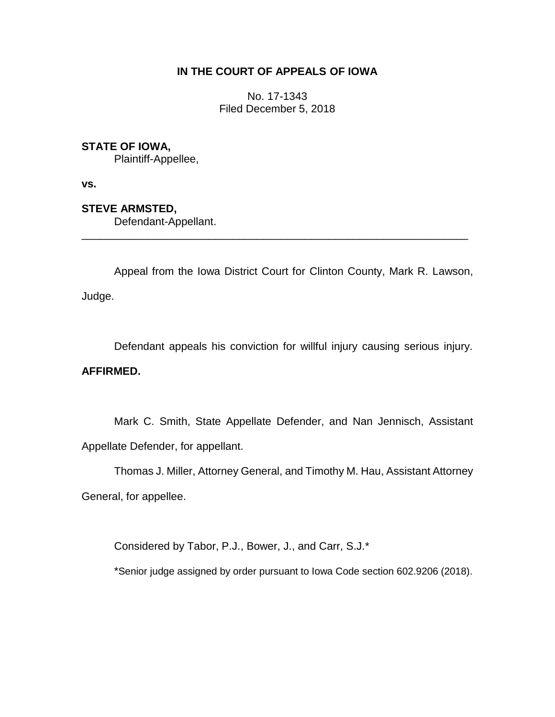### **IN THE COURT OF APPEALS OF IOWA**

No. 17-1343 Filed December 5, 2018

### **STATE OF IOWA,**

Plaintiff-Appellee,

**vs.**

**STEVE ARMSTED,**

Defendant-Appellant.

Appeal from the Iowa District Court for Clinton County, Mark R. Lawson, Judge.

\_\_\_\_\_\_\_\_\_\_\_\_\_\_\_\_\_\_\_\_\_\_\_\_\_\_\_\_\_\_\_\_\_\_\_\_\_\_\_\_\_\_\_\_\_\_\_\_\_\_\_\_\_\_\_\_\_\_\_\_\_\_\_\_

Defendant appeals his conviction for willful injury causing serious injury.

## **AFFIRMED.**

Mark C. Smith, State Appellate Defender, and Nan Jennisch, Assistant Appellate Defender, for appellant.

Thomas J. Miller, Attorney General, and Timothy M. Hau, Assistant Attorney General, for appellee.

Considered by Tabor, P.J., Bower, J., and Carr, S.J.\*

\*Senior judge assigned by order pursuant to Iowa Code section 602.9206 (2018).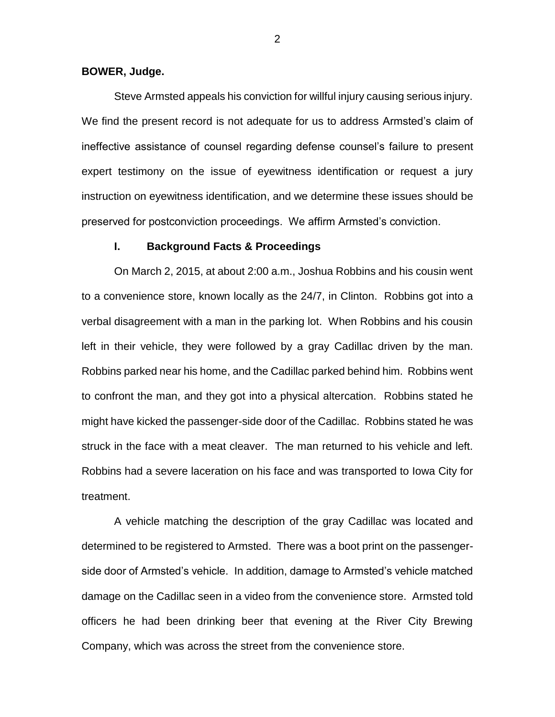#### **BOWER, Judge.**

Steve Armsted appeals his conviction for willful injury causing serious injury. We find the present record is not adequate for us to address Armsted's claim of ineffective assistance of counsel regarding defense counsel's failure to present expert testimony on the issue of eyewitness identification or request a jury instruction on eyewitness identification, and we determine these issues should be preserved for postconviction proceedings. We affirm Armsted's conviction.

#### **I. Background Facts & Proceedings**

On March 2, 2015, at about 2:00 a.m., Joshua Robbins and his cousin went to a convenience store, known locally as the 24/7, in Clinton. Robbins got into a verbal disagreement with a man in the parking lot. When Robbins and his cousin left in their vehicle, they were followed by a gray Cadillac driven by the man. Robbins parked near his home, and the Cadillac parked behind him. Robbins went to confront the man, and they got into a physical altercation. Robbins stated he might have kicked the passenger-side door of the Cadillac. Robbins stated he was struck in the face with a meat cleaver. The man returned to his vehicle and left. Robbins had a severe laceration on his face and was transported to Iowa City for treatment.

A vehicle matching the description of the gray Cadillac was located and determined to be registered to Armsted. There was a boot print on the passengerside door of Armsted's vehicle. In addition, damage to Armsted's vehicle matched damage on the Cadillac seen in a video from the convenience store. Armsted told officers he had been drinking beer that evening at the River City Brewing Company, which was across the street from the convenience store.

2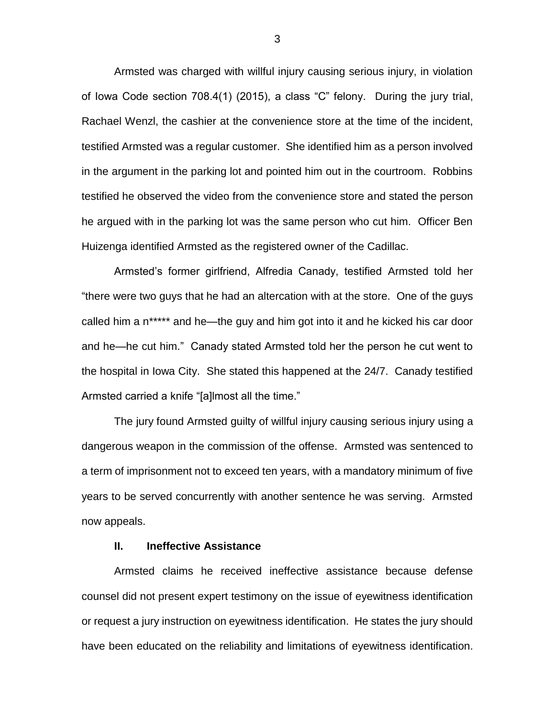Armsted was charged with willful injury causing serious injury, in violation of Iowa Code section 708.4(1) (2015), a class "C" felony. During the jury trial, Rachael Wenzl, the cashier at the convenience store at the time of the incident, testified Armsted was a regular customer. She identified him as a person involved in the argument in the parking lot and pointed him out in the courtroom. Robbins testified he observed the video from the convenience store and stated the person he argued with in the parking lot was the same person who cut him. Officer Ben Huizenga identified Armsted as the registered owner of the Cadillac.

Armsted's former girlfriend, Alfredia Canady, testified Armsted told her "there were two guys that he had an altercation with at the store. One of the guys called him a n\*\*\*\*\* and he—the guy and him got into it and he kicked his car door and he—he cut him." Canady stated Armsted told her the person he cut went to the hospital in Iowa City. She stated this happened at the 24/7. Canady testified Armsted carried a knife "[a]lmost all the time."

The jury found Armsted guilty of willful injury causing serious injury using a dangerous weapon in the commission of the offense. Armsted was sentenced to a term of imprisonment not to exceed ten years, with a mandatory minimum of five years to be served concurrently with another sentence he was serving. Armsted now appeals.

#### **II. Ineffective Assistance**

Armsted claims he received ineffective assistance because defense counsel did not present expert testimony on the issue of eyewitness identification or request a jury instruction on eyewitness identification. He states the jury should have been educated on the reliability and limitations of eyewitness identification.

3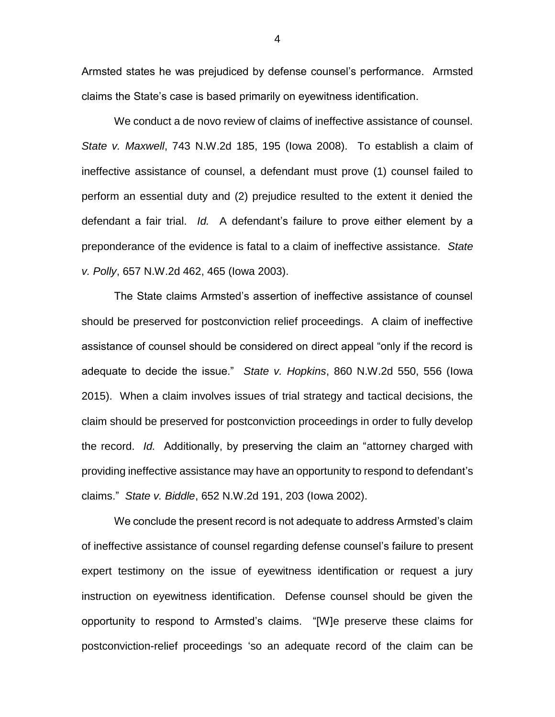Armsted states he was prejudiced by defense counsel's performance. Armsted claims the State's case is based primarily on eyewitness identification.

We conduct a de novo review of claims of ineffective assistance of counsel. *State v. Maxwell*, 743 N.W.2d 185, 195 (Iowa 2008). To establish a claim of ineffective assistance of counsel, a defendant must prove (1) counsel failed to perform an essential duty and (2) prejudice resulted to the extent it denied the defendant a fair trial. *Id.* A defendant's failure to prove either element by a preponderance of the evidence is fatal to a claim of ineffective assistance. *State v. Polly*, 657 N.W.2d 462, 465 (Iowa 2003).

The State claims Armsted's assertion of ineffective assistance of counsel should be preserved for postconviction relief proceedings. A claim of ineffective assistance of counsel should be considered on direct appeal "only if the record is adequate to decide the issue." *State v. Hopkins*, 860 N.W.2d 550, 556 (Iowa 2015). When a claim involves issues of trial strategy and tactical decisions, the claim should be preserved for postconviction proceedings in order to fully develop the record. *Id.* Additionally, by preserving the claim an "attorney charged with providing ineffective assistance may have an opportunity to respond to defendant's claims." *State v. Biddle*, 652 N.W.2d 191, 203 (Iowa 2002).

We conclude the present record is not adequate to address Armsted's claim of ineffective assistance of counsel regarding defense counsel's failure to present expert testimony on the issue of eyewitness identification or request a jury instruction on eyewitness identification. Defense counsel should be given the opportunity to respond to Armsted's claims. "[W]e preserve these claims for postconviction-relief proceedings 'so an adequate record of the claim can be